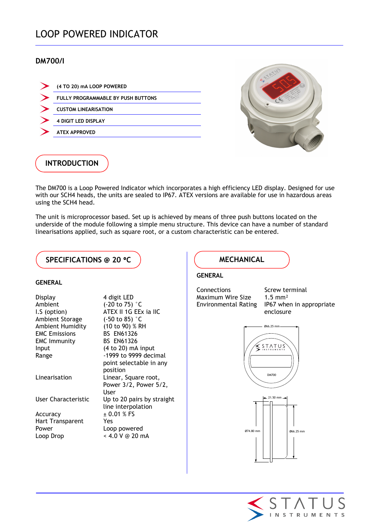# LOOP POWERED INDICATOR

### DM700/I

| (4 TO 20) mA LOOP POWERED                 |
|-------------------------------------------|
| <b>FULLY PROGRAMMABLE BY PUSH BUTTONS</b> |
| <b>CUSTOM LINEARISATION</b>               |
| <b>4 DIGIT LED DISPLAY</b>                |
| <b>ATEX APPROVED</b>                      |
|                                           |



## INTRODUCTION

The DM700 is a Loop Powered Indicator which incorporates a high efficiency LED display. Designed for use with our SCH4 heads, the units are sealed to IP67. ATEX versions are available for use in hazardous areas using the SCH4 head.

The unit is microprocessor based. Set up is achieved by means of three push buttons located on the underside of the module following a simple menu structure. This device can have a number of standard linearisations applied, such as square root, or a custom characteristic can be entered.

#### SPECIFICATIONS @ 20 °C WECHANICAL

#### GENERAL

| Display<br>Ambient<br>I.S (option)<br>Ambient Storage | 4 digit LED<br>$(-20 \text{ to } 75)$ °C<br>ATEX II 1G EEx ia IIC<br>$(-50 \text{ to } 85)$ °C |
|-------------------------------------------------------|------------------------------------------------------------------------------------------------|
| Ambient Humidity                                      | (10 to 90) % RH                                                                                |
| <b>EMC Emissions</b>                                  | <b>BS EN61326</b>                                                                              |
| <b>EMC Immunity</b>                                   | <b>BS EN61326</b>                                                                              |
| Input                                                 | (4 to 20) mA input                                                                             |
| Range                                                 | -1999 to 9999 decimal                                                                          |
|                                                       | point selectable in any                                                                        |
|                                                       | position                                                                                       |
| Linearisation                                         | Linear, Square root,                                                                           |
|                                                       | Power 3/2, Power 5/2,<br>User                                                                  |
| User Characteristic                                   | Up to 20 pairs by straight<br>line interpolation                                               |
| Accuracy                                              | $\pm$ 0.01 % FS                                                                                |
| Hart Transparent                                      | Yes                                                                                            |
| Power                                                 | Loop powered                                                                                   |
| Loop Drop                                             | < 4.0 V @ 20 mA                                                                                |
|                                                       |                                                                                                |

#### GENERAL

Connections Screw terminal Maximum Wire Size 1.5 mm<sup>2</sup>

Environmental Rating IP67 when in appropriate enclosure